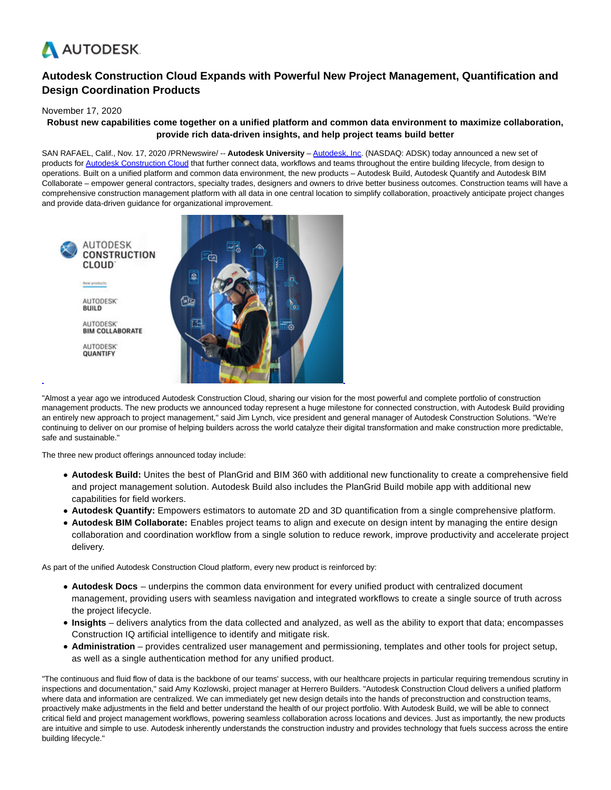

# **Autodesk Construction Cloud Expands with Powerful New Project Management, Quantification and Design Coordination Products**

# November 17, 2020

# **Robust new capabilities come together on a unified platform and common data environment to maximize collaboration, provide rich data-driven insights, and help project teams build better**

SAN RAFAEL, Calif., Nov. 17, 2020 /PRNewswire/ -- **Autodesk University** – [Autodesk, Inc.](https://c212.net/c/link/?t=0&l=en&o=2984013-1&h=397580866&u=http%3A%2F%2Fautodesk.com%2F&a=Autodesk%2C+Inc) (NASDAQ: ADSK) today announced a new set of products fo[r Autodesk Construction Cloud t](https://c212.net/c/link/?t=0&l=en&o=2984013-1&h=3851342497&u=http%3A%2F%2Fconstruction.autodesk.com%2F&a=Autodesk+Construction+Cloud)hat further connect data, workflows and teams throughout the entire building lifecycle, from design to operations. Built on a unified platform and common data environment, the new products – Autodesk Build, Autodesk Quantify and Autodesk BIM Collaborate – empower general contractors, specialty trades, designers and owners to drive better business outcomes. Construction teams will have a comprehensive construction management platform with all data in one central location to simplify collaboration, proactively anticipate project changes and provide data-driven guidance for organizational improvement.



"Almost a year ago we introduced Autodesk Construction Cloud, sharing our vision for the most powerful and complete portfolio of construction management products. The new products we announced today represent a huge milestone for connected construction, with Autodesk Build providing an entirely new approach to project management," said Jim Lynch, vice president and general manager of Autodesk Construction Solutions. "We're continuing to deliver on our promise of helping builders across the world catalyze their digital transformation and make construction more predictable, safe and sustainable."

The three new product offerings announced today include:

- **Autodesk Build:** Unites the best of PlanGrid and BIM 360 with additional new functionality to create a comprehensive field and project management solution. Autodesk Build also includes the PlanGrid Build mobile app with additional new capabilities for field workers.
- **Autodesk Quantify:** Empowers estimators to automate 2D and 3D quantification from a single comprehensive platform.
- **Autodesk BIM Collaborate:** Enables project teams to align and execute on design intent by managing the entire design collaboration and coordination workflow from a single solution to reduce rework, improve productivity and accelerate project delivery.

As part of the unified Autodesk Construction Cloud platform, every new product is reinforced by:

- **Autodesk Docs**  underpins the common data environment for every unified product with centralized document management, providing users with seamless navigation and integrated workflows to create a single source of truth across the project lifecycle.
- **Insights** delivers analytics from the data collected and analyzed, as well as the ability to export that data; encompasses Construction IQ artificial intelligence to identify and mitigate risk.
- **Administration** provides centralized user management and permissioning, templates and other tools for project setup, as well as a single authentication method for any unified product.

"The continuous and fluid flow of data is the backbone of our teams' success, with our healthcare projects in particular requiring tremendous scrutiny in inspections and documentation," said Amy Kozlowski, project manager at Herrero Builders. "Autodesk Construction Cloud delivers a unified platform where data and information are centralized. We can immediately get new design details into the hands of preconstruction and construction teams, proactively make adjustments in the field and better understand the health of our project portfolio. With Autodesk Build, we will be able to connect critical field and project management workflows, powering seamless collaboration across locations and devices. Just as importantly, the new products are intuitive and simple to use. Autodesk inherently understands the construction industry and provides technology that fuels success across the entire building lifecycle."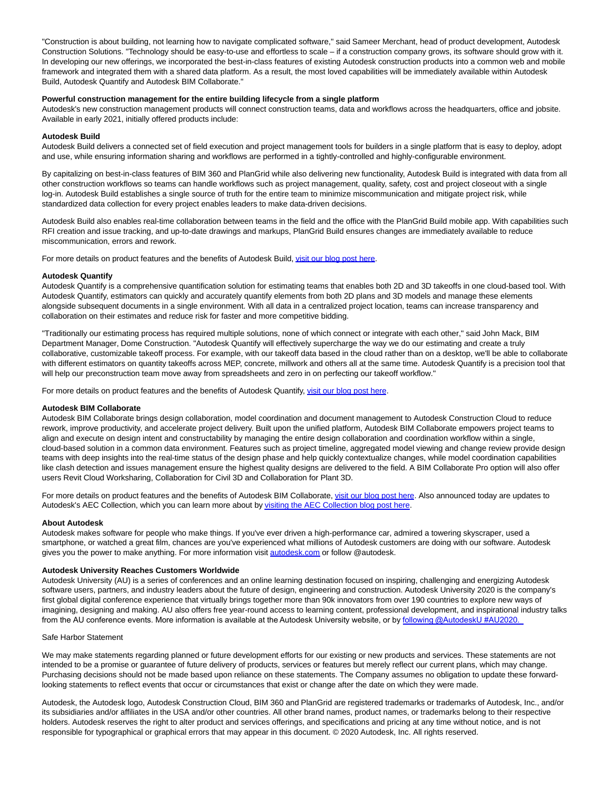"Construction is about building, not learning how to navigate complicated software," said Sameer Merchant, head of product development, Autodesk Construction Solutions. "Technology should be easy-to-use and effortless to scale – if a construction company grows, its software should grow with it. In developing our new offerings, we incorporated the best-in-class features of existing Autodesk construction products into a common web and mobile framework and integrated them with a shared data platform. As a result, the most loved capabilities will be immediately available within Autodesk Build, Autodesk Quantify and Autodesk BIM Collaborate."

# **Powerful construction management for the entire building lifecycle from a single platform**

Autodesk's new construction management products will connect construction teams, data and workflows across the headquarters, office and jobsite. Available in early 2021, initially offered products include:

### **Autodesk Build**

Autodesk Build delivers a connected set of field execution and project management tools for builders in a single platform that is easy to deploy, adopt and use, while ensuring information sharing and workflows are performed in a tightly-controlled and highly-configurable environment.

By capitalizing on best-in-class features of BIM 360 and PlanGrid while also delivering new functionality, Autodesk Build is integrated with data from all other construction workflows so teams can handle workflows such as project management, quality, safety, cost and project closeout with a single log-in. Autodesk Build establishes a single source of truth for the entire team to minimize miscommunication and mitigate project risk, while standardized data collection for every project enables leaders to make data-driven decisions.

Autodesk Build also enables real-time collaboration between teams in the field and the office with the PlanGrid Build mobile app. With capabilities such RFI creation and issue tracking, and up-to-date drawings and markups, PlanGrid Build ensures changes are immediately available to reduce miscommunication, errors and rework.

For more details on product features and the benefits of Autodesk Build[, visit our blog post here.](https://c212.net/c/link/?t=0&l=en&o=2984013-1&h=3706557209&u=https%3A%2F%2Fconstructionblog.autodesk.com%2Fautodesk-build&a=visit+our+blog+post+here)

#### **Autodesk Quantify**

Autodesk Quantify is a comprehensive quantification solution for estimating teams that enables both 2D and 3D takeoffs in one cloud-based tool. With Autodesk Quantify, estimators can quickly and accurately quantify elements from both 2D plans and 3D models and manage these elements alongside subsequent documents in a single environment. With all data in a centralized project location, teams can increase transparency and collaboration on their estimates and reduce risk for faster and more competitive bidding.

"Traditionally our estimating process has required multiple solutions, none of which connect or integrate with each other," said John Mack, BIM Department Manager, Dome Construction. "Autodesk Quantify will effectively supercharge the way we do our estimating and create a truly collaborative, customizable takeoff process. For example, with our takeoff data based in the cloud rather than on a desktop, we'll be able to collaborate with different estimators on quantity takeoffs across MEP, concrete, millwork and others all at the same time. Autodesk Quantify is a precision tool that will help our preconstruction team move away from spreadsheets and zero in on perfecting our takeoff workflow."

For more details on product features and the benefits of Autodesk Quantify, [visit our blog post here.](https://c212.net/c/link/?t=0&l=en&o=2984013-1&h=1799444157&u=https%3A%2F%2Fconstructionblog.autodesk.com%2Fautodesk-quantify&a=visit+our+blog+post+here)

# **Autodesk BIM Collaborate**

Autodesk BIM Collaborate brings design collaboration, model coordination and document management to Autodesk Construction Cloud to reduce rework, improve productivity, and accelerate project delivery. Built upon the unified platform, Autodesk BIM Collaborate empowers project teams to align and execute on design intent and constructability by managing the entire design collaboration and coordination workflow within a single, cloud-based solution in a common data environment. Features such as project timeline, aggregated model viewing and change review provide design teams with deep insights into the real-time status of the design phase and help quickly contextualize changes, while model coordination capabilities like clash detection and issues management ensure the highest quality designs are delivered to the field. A BIM Collaborate Pro option will also offer users Revit Cloud Worksharing, Collaboration for Civil 3D and Collaboration for Plant 3D.

For more details on product features and the benefits of Autodesk BIM Collaborate, [visit our blog post here.](https://c212.net/c/link/?t=0&l=en&o=2984013-1&h=1834589182&u=https%3A%2F%2Fconstructionblog.autodesk.com%2Fautodesk-bim-collaborate&a=visit+our+blog+post+here) Also announced today are updates to Autodesk's AEC Collection, which you can learn more about b[y visiting the AEC Collection blog post here.](https://c212.net/c/link/?t=0&l=en&o=2984013-1&h=1074646043&u=https%3A%2F%2Fadsknews.autodesk.com%2Fnews%2Fnew-aec-cloud-offerings-design&a=visiting+the+AEC+Collection+blog+post+here)

# **About Autodesk**

Autodesk makes software for people who make things. If you've ever driven a high-performance car, admired a towering skyscraper, used a smartphone, or watched a great film, chances are you've experienced what millions of Autodesk customers are doing with our software. Autodesk gives you the power to make anything. For more information visit [autodesk.com o](http://autodesk.com/)r follow @autodesk.

# **Autodesk University Reaches Customers Worldwide**

Autodesk University (AU) is a series of conferences and an online learning destination focused on inspiring, challenging and energizing Autodesk software users, partners, and industry leaders about the future of design, engineering and construction. Autodesk University 2020 is the company's first global digital conference experience that virtually brings together more than 90k innovators from over 190 countries to explore new ways of imagining, designing and making. AU also offers free year-round access to learning content, professional development, and inspirational industry talks from the AU conference events. More information is available at the Autodesk University website, or by following @AutodeskU #AU2020.

# Safe Harbor Statement

We may make statements regarding planned or future development efforts for our existing or new products and services. These statements are not intended to be a promise or guarantee of future delivery of products, services or features but merely reflect our current plans, which may change. Purchasing decisions should not be made based upon reliance on these statements. The Company assumes no obligation to update these forwardlooking statements to reflect events that occur or circumstances that exist or change after the date on which they were made.

Autodesk, the Autodesk logo, Autodesk Construction Cloud, BIM 360 and PlanGrid are registered trademarks or trademarks of Autodesk, Inc., and/or its subsidiaries and/or affiliates in the USA and/or other countries. All other brand names, product names, or trademarks belong to their respective holders. Autodesk reserves the right to alter product and services offerings, and specifications and pricing at any time without notice, and is not responsible for typographical or graphical errors that may appear in this document. © 2020 Autodesk, Inc. All rights reserved.